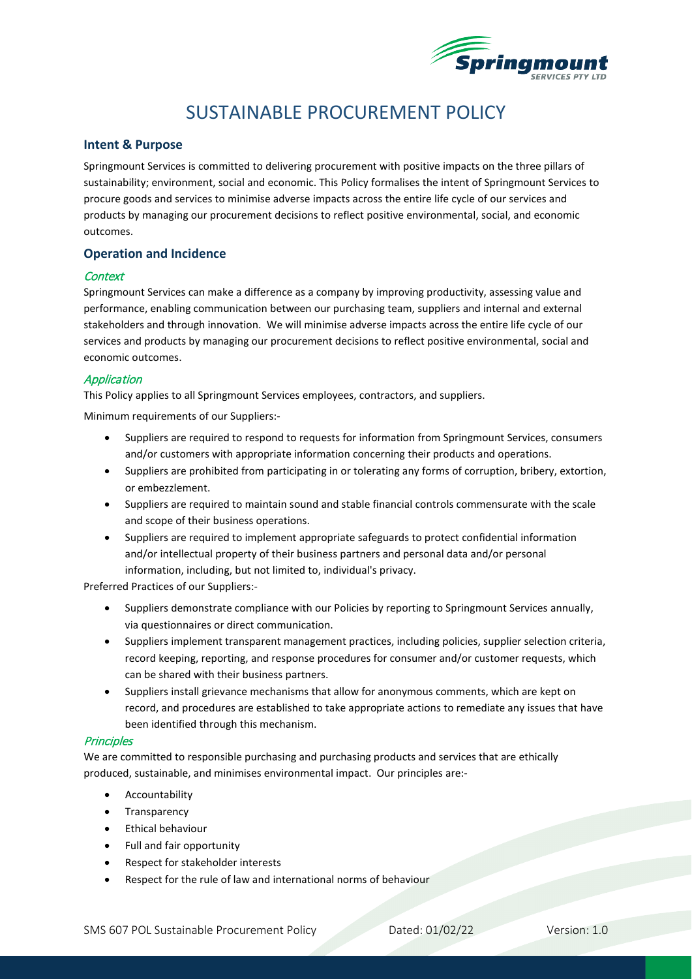

# SUSTAINABLE PROCUREMENT POLICY

## **Intent & Purpose**

Springmount Services is committed to delivering procurement with positive impacts on the three pillars of sustainability; environment, social and economic. This Policy formalises the intent of Springmount Services to procure goods and services to minimise adverse impacts across the entire life cycle of our services and products by managing our procurement decisions to reflect positive environmental, social, and economic outcomes.

## **Operation and Incidence**

#### **Context**

Springmount Services can make a difference as a company by improving productivity, assessing value and performance, enabling communication between our purchasing team, suppliers and internal and external stakeholders and through innovation. We will minimise adverse impacts across the entire life cycle of our services and products by managing our procurement decisions to reflect positive environmental, social and economic outcomes.

### Application

This Policy applies to all Springmount Services employees, contractors, and suppliers.

Minimum requirements of our Suppliers:-

- Suppliers are required to respond to requests for information from Springmount Services, consumers and/or customers with appropriate information concerning their products and operations.
- Suppliers are prohibited from participating in or tolerating any forms of corruption, bribery, extortion, or embezzlement.
- Suppliers are required to maintain sound and stable financial controls commensurate with the scale and scope of their business operations.
- Suppliers are required to implement appropriate safeguards to protect confidential information and/or intellectual property of their business partners and personal data and/or personal information, including, but not limited to, individual's privacy.

Preferred Practices of our Suppliers:-

- Suppliers demonstrate compliance with our Policies by reporting to Springmount Services annually, via questionnaires or direct communication.
- Suppliers implement transparent management practices, including policies, supplier selection criteria, record keeping, reporting, and response procedures for consumer and/or customer requests, which can be shared with their business partners.
- Suppliers install grievance mechanisms that allow for anonymous comments, which are kept on record, and procedures are established to take appropriate actions to remediate any issues that have been identified through this mechanism.

### **Principles**

We are committed to responsible purchasing and purchasing products and services that are ethically produced, sustainable, and minimises environmental impact. Our principles are:-

- **Accountability**
- **Transparency**
- Ethical behaviour
- Full and fair opportunity
- Respect for stakeholder interests
- Respect for the rule of law and international norms of behaviour